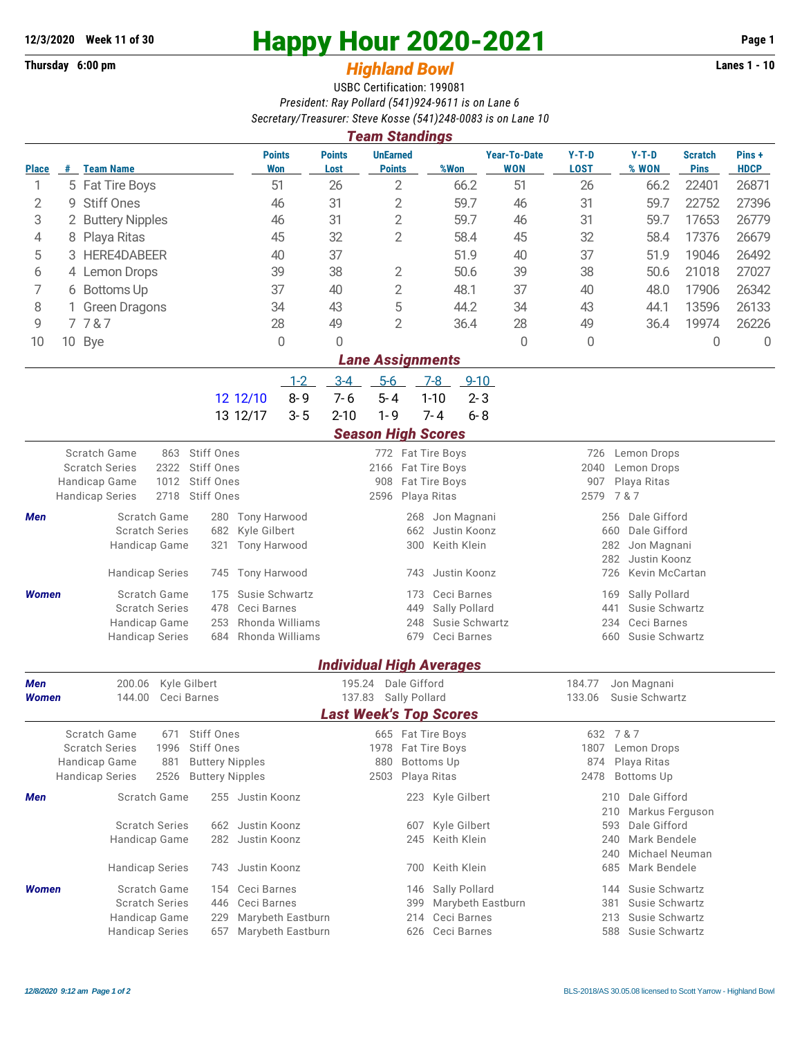## **Thursday 6:00 pm** *Highland Bowl* **Lanes 1 - 10**

## **12/3/2020 Week 11 of 30 Happy Hour 2020-2021 Page 1**

## USBC Certification: 199081 *President: Ray Pollard (541)924-9611 is on Lane 6 Secretary/Treasurer: Steve Kosse (541)248-0083 is on Lane 10*

| <b>Team Standings</b>                                                                                               |                                                                                                                                                                                              |                                                                                                                                                                                      |                                                                                   |                                                                                           |                                                                                              |                                                            |                                   |                                                                                                                  |                                                                                                  |                               |                      |  |  |
|---------------------------------------------------------------------------------------------------------------------|----------------------------------------------------------------------------------------------------------------------------------------------------------------------------------------------|--------------------------------------------------------------------------------------------------------------------------------------------------------------------------------------|-----------------------------------------------------------------------------------|-------------------------------------------------------------------------------------------|----------------------------------------------------------------------------------------------|------------------------------------------------------------|-----------------------------------|------------------------------------------------------------------------------------------------------------------|--------------------------------------------------------------------------------------------------|-------------------------------|----------------------|--|--|
| <b>Place</b>                                                                                                        | #                                                                                                                                                                                            | <b>Team Name</b>                                                                                                                                                                     | <b>Points</b><br>Won                                                              | <b>Points</b><br>Lost                                                                     | <b>UnEarned</b><br><b>Points</b>                                                             | %Won                                                       | <b>Year-To-Date</b><br><b>WON</b> | $Y-T-D$<br><b>LOST</b>                                                                                           | $Y-T-D$<br>% WON                                                                                 | <b>Scratch</b><br><b>Pins</b> | Pins+<br><b>HDCP</b> |  |  |
| 1                                                                                                                   |                                                                                                                                                                                              | 5 Fat Tire Boys                                                                                                                                                                      | 51                                                                                | 26                                                                                        | $\overline{2}$                                                                               | 66.2                                                       | 51                                | 26                                                                                                               | 22401<br>66.2                                                                                    |                               | 26871                |  |  |
| $\overline{2}$                                                                                                      | 9                                                                                                                                                                                            | <b>Stiff Ones</b>                                                                                                                                                                    | 46                                                                                | 31                                                                                        | 2<br>59.7                                                                                    |                                                            | 46                                | 31                                                                                                               | 59.7                                                                                             | 22752                         | 27396                |  |  |
| 3                                                                                                                   |                                                                                                                                                                                              | 2 Buttery Nipples                                                                                                                                                                    | 46                                                                                | 31                                                                                        | 2<br>59.7                                                                                    |                                                            | 46                                | 31                                                                                                               | 59.7                                                                                             | 17653                         | 26779                |  |  |
| 4                                                                                                                   | 8                                                                                                                                                                                            | Playa Ritas                                                                                                                                                                          | 45                                                                                | 32                                                                                        | $\overline{2}$<br>58.4                                                                       |                                                            | 45                                | 32                                                                                                               | 58.4                                                                                             | 17376                         | 26679                |  |  |
| 5                                                                                                                   |                                                                                                                                                                                              | <b>HERE4DABEER</b>                                                                                                                                                                   | 40                                                                                | 37                                                                                        | 51.9<br>40                                                                                   |                                                            |                                   | 37                                                                                                               | 51.9                                                                                             | 19046                         | 26492                |  |  |
| 6                                                                                                                   |                                                                                                                                                                                              | 4 Lemon Drops                                                                                                                                                                        | 39                                                                                | 38                                                                                        | 2<br>50.6                                                                                    |                                                            | 39                                | 38                                                                                                               | 50.6                                                                                             | 21018                         | 27027                |  |  |
| 7                                                                                                                   | 6                                                                                                                                                                                            | <b>Bottoms Up</b>                                                                                                                                                                    | 37                                                                                | 40                                                                                        | $\mathbf{2}$                                                                                 | 48.1                                                       | 37                                | 40                                                                                                               | 48.0                                                                                             | 17906                         | 26342                |  |  |
| 8                                                                                                                   |                                                                                                                                                                                              | <b>Green Dragons</b>                                                                                                                                                                 | 34                                                                                | 43                                                                                        | 5                                                                                            | 44.2                                                       | 34                                | 43                                                                                                               | 44.1                                                                                             | 13596                         | 26133                |  |  |
| 9                                                                                                                   |                                                                                                                                                                                              | 7787                                                                                                                                                                                 | 28                                                                                | 49                                                                                        | $\overline{2}$                                                                               | 36.4                                                       | 28                                | 49                                                                                                               | 36.4                                                                                             | 19974                         | 26226                |  |  |
| 10                                                                                                                  | 10 Bye                                                                                                                                                                                       |                                                                                                                                                                                      | $\theta$                                                                          | $\Omega$                                                                                  |                                                                                              |                                                            | $\Omega$                          | 0                                                                                                                |                                                                                                  | 0                             | $\mathbf 0$          |  |  |
| <b>Lane Assignments</b>                                                                                             |                                                                                                                                                                                              |                                                                                                                                                                                      |                                                                                   |                                                                                           |                                                                                              |                                                            |                                   |                                                                                                                  |                                                                                                  |                               |                      |  |  |
|                                                                                                                     |                                                                                                                                                                                              |                                                                                                                                                                                      | $1 - 2$                                                                           | $3-4$                                                                                     | $5-6$                                                                                        | $9 - 10$<br>$7-8$                                          |                                   |                                                                                                                  |                                                                                                  |                               |                      |  |  |
|                                                                                                                     |                                                                                                                                                                                              |                                                                                                                                                                                      | $8 - 9$<br>12 12/10                                                               | $7 - 6$                                                                                   | $5 - 4$                                                                                      | $1 - 10$<br>$2 - 3$                                        |                                   |                                                                                                                  |                                                                                                  |                               |                      |  |  |
|                                                                                                                     |                                                                                                                                                                                              |                                                                                                                                                                                      | $3 - 5$<br>13 12/17                                                               | $2 - 10$                                                                                  | $1 - 9$                                                                                      | $7 - 4$<br>$6 - 8$                                         |                                   |                                                                                                                  |                                                                                                  |                               |                      |  |  |
|                                                                                                                     |                                                                                                                                                                                              |                                                                                                                                                                                      |                                                                                   |                                                                                           | <b>Season High Scores</b>                                                                    |                                                            |                                   |                                                                                                                  |                                                                                                  |                               |                      |  |  |
|                                                                                                                     | Scratch Game<br>Stiff Ones<br>863<br><b>Scratch Series</b><br><b>Stiff Ones</b><br>2322<br><b>Stiff Ones</b><br>Handicap Game<br>1012<br>2718<br><b>Stiff Ones</b><br><b>Handicap Series</b> |                                                                                                                                                                                      |                                                                                   |                                                                                           | 772 Fat Tire Boys<br>2166<br>908<br>2596                                                     | Fat Tire Boys<br>Fat Tire Boys<br>Playa Ritas              |                                   | 726<br>Lemon Drops<br>2040<br>Lemon Drops<br>907<br>Playa Ritas<br>2579<br>7 & 7                                 |                                                                                                  |                               |                      |  |  |
| Scratch Game<br>Men<br>280<br><b>Scratch Series</b><br>682<br>Handicap Game<br>321<br><b>Handicap Series</b><br>745 |                                                                                                                                                                                              |                                                                                                                                                                                      | <b>Tony Harwood</b><br>Kyle Gilbert<br><b>Tony Harwood</b><br><b>Tony Harwood</b> |                                                                                           | 268<br>662<br>300<br>743                                                                     | Jon Magnani<br>Justin Koonz<br>Keith Klein<br>Justin Koonz |                                   | Dale Gifford<br>256<br>Dale Gifford<br>660<br>282<br>Jon Magnani<br>282<br>Justin Koonz<br>726<br>Kevin McCartan |                                                                                                  |                               |                      |  |  |
|                                                                                                                     | Susie Schwartz<br>Scratch Game<br>Women<br>175<br><b>Scratch Series</b><br>478<br>Ceci Barnes<br>Rhonda Williams<br>Handicap Game<br>253<br>684<br>Rhonda Williams<br><b>Handicap Series</b> |                                                                                                                                                                                      |                                                                                   | Ceci Barnes<br>173<br>Sally Pollard<br>449<br>Susie Schwartz<br>248<br>679<br>Ceci Barnes |                                                                                              |                                                            |                                   | Sally Pollard<br>169<br>Susie Schwartz<br>441<br>Ceci Barnes<br>234<br>660<br>Susie Schwartz                     |                                                                                                  |                               |                      |  |  |
|                                                                                                                     |                                                                                                                                                                                              |                                                                                                                                                                                      |                                                                                   | <b>Individual High Averages</b>                                                           |                                                                                              |                                                            |                                   |                                                                                                                  |                                                                                                  |                               |                      |  |  |
| <b>Men</b><br>200.06<br>Kyle Gilbert<br>144.00<br>Ceci Barnes<br><b>Women</b>                                       |                                                                                                                                                                                              |                                                                                                                                                                                      |                                                                                   | Dale Gifford<br>195.24<br>137.83<br>Sally Pollard<br><b>Last Week's Top Scores</b>        |                                                                                              |                                                            |                                   | 184.77<br>Jon Magnani<br>133.06<br>Susie Schwartz                                                                |                                                                                                  |                               |                      |  |  |
|                                                                                                                     |                                                                                                                                                                                              | Scratch Game<br>671<br><b>Scratch Series</b><br>1996<br>Handicap Game<br>881<br><b>Handicap Series</b><br>2526                                                                       | Stiff Ones<br>Stiff Ones<br><b>Buttery Nipples</b><br><b>Buttery Nipples</b>      |                                                                                           | 665 Fat Tire Boys<br>1978<br>880<br>2503                                                     | Fat Tire Boys<br><b>Bottoms Up</b><br>Playa Ritas          |                                   | 1807<br>874<br>2478                                                                                              | 632 7 & 7<br>Lemon Drops<br>Playa Ritas<br><b>Bottoms Up</b>                                     |                               |                      |  |  |
| Men                                                                                                                 |                                                                                                                                                                                              | Scratch Game<br><b>Scratch Series</b>                                                                                                                                                | 255 Justin Koonz<br>662 Justin Koonz                                              |                                                                                           | 607                                                                                          | 223 Kyle Gilbert<br>Kyle Gilbert                           |                                   |                                                                                                                  | Dale Gifford<br>210<br>210<br>Markus Ferguson<br>Dale Gifford<br>593                             |                               |                      |  |  |
|                                                                                                                     |                                                                                                                                                                                              | Handicap Game<br><b>Handicap Series</b>                                                                                                                                              | 282<br>Justin Koonz<br>Justin Koonz<br>743                                        |                                                                                           | 245<br>700                                                                                   | Keith Klein<br>Keith Klein                                 |                                   | 240                                                                                                              | Mark Bendele<br>Michael Neuman<br>240<br>Mark Bendele<br>685                                     |                               |                      |  |  |
| Women                                                                                                               |                                                                                                                                                                                              | Scratch Game<br>Ceci Barnes<br>154<br><b>Scratch Series</b><br>Ceci Barnes<br>446<br>Marybeth Eastburn<br>Handicap Game<br>229<br><b>Handicap Series</b><br>Marybeth Eastburn<br>657 |                                                                                   |                                                                                           | Sally Pollard<br>146<br>Marybeth Eastburn<br>399<br>Ceci Barnes<br>214<br>Ceci Barnes<br>626 |                                                            |                                   |                                                                                                                  | Susie Schwartz<br>144<br>381<br>Susie Schwartz<br>Susie Schwartz<br>213<br>588<br>Susie Schwartz |                               |                      |  |  |